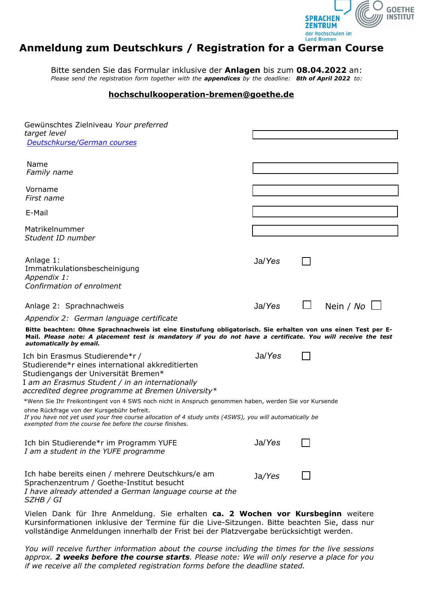

## **Anmeldung zum Deutschkurs / Registration for a German Course**

Bitte senden Sie das Formular inklusive der **Anlagen** bis zum **08.04.2022** an: *Please send the registration form together with the appendices by the deadline: 8th of April 2022 to:*

## **hochschulkooperation-bremen@goethe.de**

| Gewünschtes Zielniveau Your preferred<br>target level<br>Deutschkurse/German courses                                                                                                                                                                                                                                       |        |        |                    |
|----------------------------------------------------------------------------------------------------------------------------------------------------------------------------------------------------------------------------------------------------------------------------------------------------------------------------|--------|--------|--------------------|
| Name<br>Family name                                                                                                                                                                                                                                                                                                        |        |        |                    |
| Vorname<br>First name                                                                                                                                                                                                                                                                                                      |        |        |                    |
| E-Mail                                                                                                                                                                                                                                                                                                                     |        |        |                    |
| Matrikelnummer<br>Student ID number                                                                                                                                                                                                                                                                                        |        |        |                    |
| Anlage 1:<br>Immatrikulationsbescheinigung<br>Appendix 1:<br>Confirmation of enrolment                                                                                                                                                                                                                                     | Ja/Yes |        |                    |
| Anlage 2: Sprachnachweis                                                                                                                                                                                                                                                                                                   | Ja/Yes | $\Box$ | Nein / $No$ $\Box$ |
| Appendix 2: German language certificate                                                                                                                                                                                                                                                                                    |        |        |                    |
| Bitte beachten: Ohne Sprachnachweis ist eine Einstufung obligatorisch. Sie erhalten von uns einen Test per E-<br>Mail. Please note: A placement test is mandatory if you do not have a certificate. You will receive the test<br>automatically by email.                                                                   |        |        |                    |
| Ich bin Erasmus Studierende*r /<br>Studierende*r eines international akkreditierten<br>Studiengangs der Universität Bremen*<br>I am an Erasmus Student / in an internationally<br>accredited degree programme at Bremen University*                                                                                        | Ja/Yes |        |                    |
| *Wenn Sie Ihr Freikontingent von 4 SWS noch nicht in Anspruch genommen haben, werden Sie vor Kursende<br>ohne Rückfrage von der Kursgebühr befreit.<br>If you have not yet used your free course allocation of 4 study units (4SWS), you will automatically be<br>exempted from the course fee before the course finishes. |        |        |                    |
| Ich bin Studierende*r im Programm YUFE<br>I am a student in the YUFE programme                                                                                                                                                                                                                                             | Ja/Yes |        |                    |
| Ich habe bereits einen / mehrere Deutschkurs/e am<br>Sprachenzentrum / Goethe-Institut besucht<br>I have already attended a German language course at the<br>SZHB / GI                                                                                                                                                     | Ja/Yes |        |                    |

Vielen Dank für Ihre Anmeldung. Sie erhalten **ca. 2 Wochen vor Kursbeginn** weitere Kursinformationen inklusive der Termine für die Live-Sitzungen. Bitte beachten Sie, dass nur vollständige Anmeldungen innerhalb der Frist bei der Platzvergabe berücksichtigt werden.

*You will receive further information about the course including the times for the live sessions approx. 2 weeks before the course starts. Please note: We will only reserve a place for you if we receive all the completed registration forms before the deadline stated.*